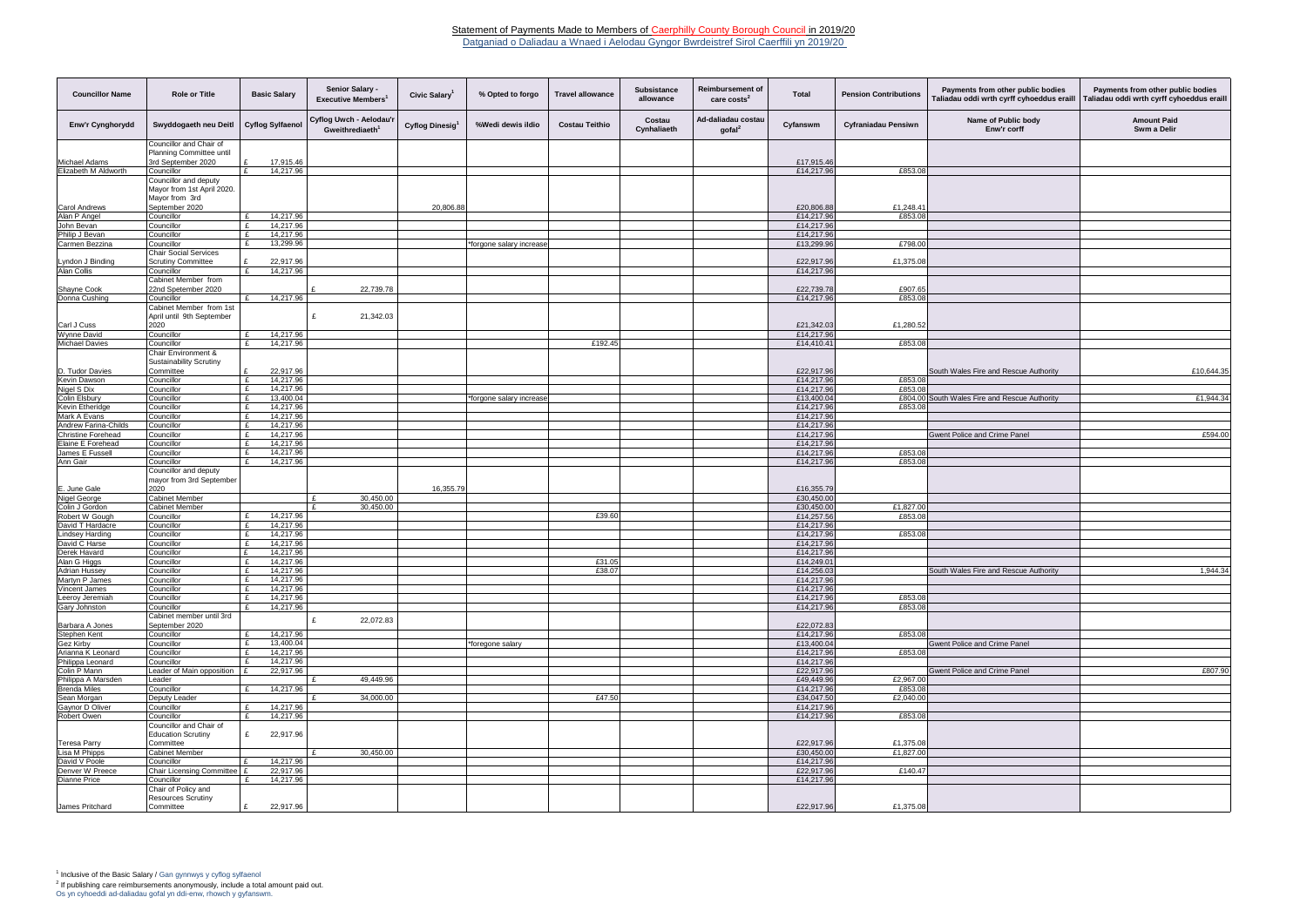Datganiad o Daliadau a Wnaed i Aelodau Gyngor Bwrdeistref Sirol Caerffili yn 2019/20

| <b>Councillor Name</b>           | <b>Role or Title</b>                                 | <b>Basic Salary</b>                         | Senior Salary -<br><b>Executive Members</b>            | Civic Salary <sup>1</sup> | % Opted to forgo         | <b>Travel allowance</b> | <b>Subsistance</b><br>allowance | Reimbursement of<br>care $costs2$      | <b>Total</b>             | <b>Pension Contributions</b> | Payments from other public bodies<br>Taliadau oddi wrth cyrff cyhoeddus eraill | Payments from other public bodies<br><b>Faliadau oddi wrth cyrff cyhoeddus eraill</b> |
|----------------------------------|------------------------------------------------------|---------------------------------------------|--------------------------------------------------------|---------------------------|--------------------------|-------------------------|---------------------------------|----------------------------------------|--------------------------|------------------------------|--------------------------------------------------------------------------------|---------------------------------------------------------------------------------------|
| Enw'r Cynghorydd                 | Swyddogaeth neu Deitl                                | <b>Cyflog Sylfaenol</b>                     | Cyflog Uwch - Aelodau'r<br>Gweithrediaeth <sup>1</sup> | Cyflog Dinesig            | %Wedi dewis ildio        | <b>Costau Teithio</b>   | Costau<br>Cynhaliaeth           | Ad-daliadau costau<br>$\text{gofal}^2$ | Cyfanswm                 | <b>Cyfraniadau Pensiwn</b>   | Name of Public body<br>Enw'r corff                                             | <b>Amount Paid</b><br>Swm a Delir                                                     |
|                                  | Councillor and Chair of<br>Planning Committee until  |                                             |                                                        |                           |                          |                         |                                 |                                        |                          |                              |                                                                                |                                                                                       |
| Michael Adams                    | 3rd September 2020                                   | 17,915.46                                   |                                                        |                           |                          |                         |                                 |                                        | £17,915.46               |                              |                                                                                |                                                                                       |
| Elizabeth M Aldworth             | Councillor                                           | 14,217.96<br>$\mathbf{r}$                   |                                                        |                           |                          |                         |                                 |                                        | £14,217.96               | £853.08                      |                                                                                |                                                                                       |
|                                  | Councillor and deputy                                |                                             |                                                        |                           |                          |                         |                                 |                                        |                          |                              |                                                                                |                                                                                       |
|                                  | Mayor from 1st April 2020.<br>Mayor from 3rd         |                                             |                                                        |                           |                          |                         |                                 |                                        |                          |                              |                                                                                |                                                                                       |
| <b>Carol Andrews</b>             | September 2020                                       |                                             |                                                        | 20,806.88                 |                          |                         |                                 |                                        | £20,806.88               | £1,248.41                    |                                                                                |                                                                                       |
| Alan P Angel                     | Councillor                                           | 14,217.96<br>£                              |                                                        |                           |                          |                         |                                 |                                        | £14,217.96               | £853.08                      |                                                                                |                                                                                       |
| John Bevan                       | Councillor                                           | 14,217.96<br>$\mathbf{f}$                   |                                                        |                           |                          |                         |                                 |                                        | £14,217.96               |                              |                                                                                |                                                                                       |
| Philip J Bevan                   | Councillor                                           | 14,217.96<br>$\mathbf{f}$                   |                                                        |                           |                          |                         |                                 |                                        | £14,217.96               |                              |                                                                                |                                                                                       |
| Carmen Bezzina                   | Councillor<br><b>Chair Social Services</b>           | 13,299.96<br>£                              |                                                        |                           | *forgone salary increase |                         |                                 |                                        | £13,299.96               | £798.00                      |                                                                                |                                                                                       |
| Lyndon J Binding                 | <b>Scrutiny Committee</b>                            | 22,917.96<br>£                              |                                                        |                           |                          |                         |                                 |                                        | £22,917.96               | £1,375.08                    |                                                                                |                                                                                       |
| Alan Collis                      | Councillor                                           | £<br>14,217.96                              |                                                        |                           |                          |                         |                                 |                                        | £14,217.96               |                              |                                                                                |                                                                                       |
|                                  | Cabinet Member from                                  |                                             |                                                        |                           |                          |                         |                                 |                                        |                          |                              |                                                                                |                                                                                       |
| Shayne Cook<br>Donna Cushing     | 22nd Spetember 2020<br>Councillor                    | 14,217.96<br>£                              | 22,739.78                                              |                           |                          |                         |                                 |                                        | £22,739.78<br>£14,217.96 | £907.65<br>£853.08           |                                                                                |                                                                                       |
|                                  | Cabinet Member from 1st                              |                                             |                                                        |                           |                          |                         |                                 |                                        |                          |                              |                                                                                |                                                                                       |
|                                  | April until 9th September                            |                                             | 21,342.03<br>£                                         |                           |                          |                         |                                 |                                        |                          |                              |                                                                                |                                                                                       |
| Carl J Cuss                      | 2020                                                 |                                             |                                                        |                           |                          |                         |                                 |                                        | £21,342.03               | £1,280.52                    |                                                                                |                                                                                       |
| Wynne David                      | Councillor                                           | 14,217.96<br>£                              |                                                        |                           |                          |                         |                                 |                                        | £14,217.96               |                              |                                                                                |                                                                                       |
| <b>Michael Davies</b>            | Councillor<br>Chair Environment &                    | 14,217.96<br>$\mathbf{f}$                   |                                                        |                           |                          | £192.45                 |                                 |                                        | £14,410.41               | £853.08                      |                                                                                |                                                                                       |
|                                  | <b>Sustainability Scrutiny</b>                       |                                             |                                                        |                           |                          |                         |                                 |                                        |                          |                              |                                                                                |                                                                                       |
| D. Tudor Davies                  | Committee                                            | E<br>22,917.96                              |                                                        |                           |                          |                         |                                 |                                        | £22,917.96               |                              | South Wales Fire and Rescue Authority                                          | £10,644.35                                                                            |
| Kevin Dawson                     | Councillor                                           | 14,217.96<br>£                              |                                                        |                           |                          |                         |                                 |                                        | £14,217.96               | £853.08                      |                                                                                |                                                                                       |
| Nigel S Dix                      | Councillor                                           | 14,217.96<br>£                              |                                                        |                           |                          |                         |                                 |                                        | £14,217.96               | £853.08                      |                                                                                |                                                                                       |
| Colin Elsbury<br>Kevin Etheridge | Councillor<br>Councillor                             | 13,400.04<br>£<br>14,217.96<br>£            |                                                        |                           | *forgone salary increase |                         |                                 |                                        | £13,400.04<br>£14,217.96 | £853.08                      | £804.00 South Wales Fire and Rescue Authority                                  | £1,944.34                                                                             |
| Mark A Evans                     | Councillor                                           | 14,217.96<br>£                              |                                                        |                           |                          |                         |                                 |                                        | £14,217.96               |                              |                                                                                |                                                                                       |
| Andrew Farina-Childs             | Councillor                                           | 14,217.96<br>£                              |                                                        |                           |                          |                         |                                 |                                        | £14,217.96               |                              |                                                                                |                                                                                       |
| <b>Christine Forehead</b>        | Councillor                                           | 14,217.96<br>£                              |                                                        |                           |                          |                         |                                 |                                        | £14,217.96               |                              | <b>Gwent Police and Crime Panel</b>                                            | £594.00                                                                               |
| Elaine E Forehead                | Councillor                                           | 14,217.96<br>£                              |                                                        |                           |                          |                         |                                 |                                        | £14,217.96               |                              |                                                                                |                                                                                       |
| James E Fussell<br>Ann Gair      | Councillor<br>Councillor                             | 14,217.96<br>£<br>14,217.96<br>$\mathbf{f}$ |                                                        |                           |                          |                         |                                 |                                        | £14,217.96<br>£14,217.96 | £853.08<br>£853.08           |                                                                                |                                                                                       |
|                                  | Councillor and deputy<br>mayor from 3rd September    |                                             |                                                        |                           |                          |                         |                                 |                                        |                          |                              |                                                                                |                                                                                       |
| E. June Gale                     | 2020                                                 |                                             |                                                        | 16,355.79                 |                          |                         |                                 |                                        | £16,355.79               |                              |                                                                                |                                                                                       |
| Nigel George<br>Colin J Gordon   | <b>Cabinet Member</b><br><b>Cabinet Member</b>       |                                             | 30,450.00<br>£<br>30,450.00<br>£                       |                           |                          |                         |                                 |                                        | £30,450.00<br>£30,450.00 | £1,827.00                    |                                                                                |                                                                                       |
| Robert W Gough                   | Councillor                                           | 14,217.96<br>£                              |                                                        |                           |                          | £39.60                  |                                 |                                        | £14,257.56               | £853.08                      |                                                                                |                                                                                       |
| David T Hardacre                 | Councillor                                           | 14,217.96<br>£                              |                                                        |                           |                          |                         |                                 |                                        | £14,217.96               |                              |                                                                                |                                                                                       |
| Lindsey Harding                  | Councillor                                           | 14,217.96<br>$\mathbf{f}$                   |                                                        |                           |                          |                         |                                 |                                        | £14,217.96               | £853.08                      |                                                                                |                                                                                       |
| David C Harse<br>Derek Havard    | Councillor<br>Councillor                             | 14,217.96<br>14,217.96<br>$\mathbf{f}$      |                                                        |                           |                          |                         |                                 |                                        | £14,217.96<br>£14,217.96 |                              |                                                                                |                                                                                       |
| Alan G Higgs                     | Councillor                                           | 14,217.96<br>£                              |                                                        |                           |                          | £31.05                  |                                 |                                        | £14,249.01               |                              |                                                                                |                                                                                       |
| Adrian Hussey                    | Councillor                                           | 14,217.96                                   |                                                        |                           |                          | £38.07                  |                                 |                                        | £14,256.03               |                              | South Wales Fire and Rescue Authority                                          | 1,944.34                                                                              |
| Martyn P James                   | Councillor                                           | $\mathbf{f}$<br>14,217.96                   |                                                        |                           |                          |                         |                                 |                                        | £14,217.96               |                              |                                                                                |                                                                                       |
| Vincent James<br>Leeroy Jeremiah | Councillor<br>Councillor                             | 14,217.96<br>£<br>14,217.96<br>£            |                                                        |                           |                          |                         |                                 |                                        | £14,217.96<br>£14,217.96 | £853.08                      |                                                                                |                                                                                       |
| Gary Johnston                    | Councillor                                           | 14,217.96<br>£                              |                                                        |                           |                          |                         |                                 |                                        | £14,217.96               | £853.08                      |                                                                                |                                                                                       |
|                                  | Cabinet member until 3rd                             |                                             | 22,072.83<br>£                                         |                           |                          |                         |                                 |                                        |                          |                              |                                                                                |                                                                                       |
| Barbara A Jones                  | September 2020                                       |                                             |                                                        |                           |                          |                         |                                 |                                        | £22,072.83               |                              |                                                                                |                                                                                       |
| Stephen Kent                     | Councillor                                           | 14,217.96<br>E                              |                                                        |                           |                          |                         |                                 |                                        | £14,217.96               | £853.08                      |                                                                                |                                                                                       |
| Gez Kirby<br>Arianna K Leonard   | Councillor<br>Councillor                             | 13,400.04<br>£<br>14,217.96                 |                                                        |                           | *foregone salary         |                         |                                 |                                        | £13,400.04<br>£14,217.96 | £853.08                      | <b>Gwent Police and Crime Panel</b>                                            |                                                                                       |
| Philippa Leonard                 | Councillor                                           | 14,217.96<br>$\mathbf{f}$                   |                                                        |                           |                          |                         |                                 |                                        | £14,217.96               |                              |                                                                                |                                                                                       |
| Colin P Mann                     | Leader of Main opposition                            | 22,917.96<br>Ι£                             |                                                        |                           |                          |                         |                                 |                                        | £22,917.96               |                              | Gwent Police and Crime Panel                                                   | £807.90                                                                               |
| Philippa A Marsden               | Leader                                               |                                             | 49,449.96<br>£                                         |                           |                          |                         |                                 |                                        | £49,449.96               | £2,967.00                    |                                                                                |                                                                                       |
| <b>Brenda Miles</b>              | Councillor                                           | 14,217.96<br>£                              |                                                        |                           |                          |                         |                                 |                                        | £14,217.96               | £853.08                      |                                                                                |                                                                                       |
| Sean Morgan<br>Gaynor D Oliver   | Deputy Leader<br>Councillor                          | 14,217.96<br>£                              | 34,000.00<br>£                                         |                           |                          | £47.50                  |                                 |                                        | £34,047.50<br>£14,217.96 | £2,040.00                    |                                                                                |                                                                                       |
| Robert Owen                      | Councillor                                           | 14,217.96<br>£                              |                                                        |                           |                          |                         |                                 |                                        | £14,217.96               | £853.08                      |                                                                                |                                                                                       |
|                                  | Councillor and Chair of<br><b>Education Scrutiny</b> | 22,917.96<br>£                              |                                                        |                           |                          |                         |                                 |                                        |                          |                              |                                                                                |                                                                                       |
| <b>Teresa Parry</b>              | Committee                                            |                                             | 30,450.00<br>£                                         |                           |                          |                         |                                 |                                        | £22,917.96               | £1,375.08                    |                                                                                |                                                                                       |
| Lisa M Phipps<br>David V Poole   | <b>Cabinet Member</b><br>Councillor                  | 14,217.96                                   |                                                        |                           |                          |                         |                                 |                                        | £30,450.00<br>£14,217.96 | £1,827.00                    |                                                                                |                                                                                       |
| Denver W Preece                  | Chair Licensing Committee   £                        | 22,917.96                                   |                                                        |                           |                          |                         |                                 |                                        | £22,917.96               | £140.47                      |                                                                                |                                                                                       |
| Dianne Price                     | Councillor                                           | 14,217.96<br>£                              |                                                        |                           |                          |                         |                                 |                                        | £14,217.96               |                              |                                                                                |                                                                                       |
|                                  | Chair of Policy and<br><b>Resources Scrutiny</b>     | ۱F                                          |                                                        |                           |                          |                         |                                 |                                        |                          |                              |                                                                                |                                                                                       |
| James Pritchard                  | Committee                                            | 22,917.96                                   |                                                        |                           |                          |                         |                                 |                                        | £22,917.96               | £1,375.08                    |                                                                                |                                                                                       |